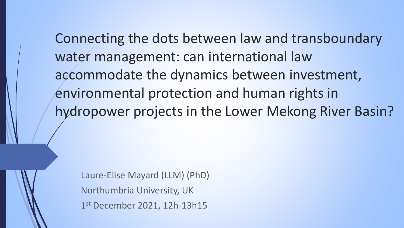Connecting the dots between law and transboundary water management: can international law accommodate the dynamics between investment, environmental protection and human rights in hydropower projects in the Lower Mekong River Basin?

Laure-Elise Mayard (LLM) (PhD) Northumbria University, UK 1 st December 2021, 12h-13h15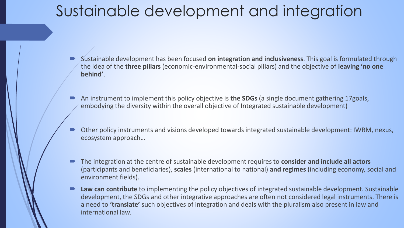### Sustainable development and integration

- Sustainable development has been focused **on integration and inclusiveness**. This goal is formulated through the idea of the **three pillars** (economic-environmental-social pillars) and the objective of **leaving 'no one behind'**.
- An instrument to implement this policy objective is **the SDGs** (a single document gathering 17goals, embodying the diversity within the overall objective of Integrated sustainable development)
- Other policy instruments and visions developed towards integrated sustainable development: IWRM, nexus, ecosystem approach…
- The integration at the centre of sustainable development requires to **consider and include all actors**  (participants and beneficiaries), **scales** (international to national) **and regimes** (including economy, social and environment fields).
- **Law can contribute** to implementing the policy objectives of integrated sustainable development. Sustainable development, the SDGs and other integrative approaches are often not considered legal instruments. There is a need to **'translate'** such objectives of integration and deals with the pluralism also present in law and international law.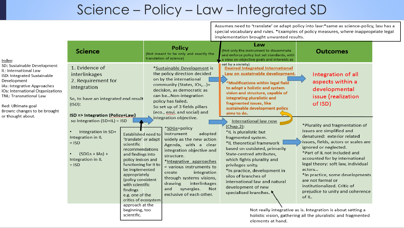#### Science – Policy – Law – Integrated SD

Assumes need to 'translate' or adapt policy into law:\*same as science-policy, law has a special vocabulary and rules. \*Examples of policy measures, where inappropriate legal implementation brought unwanted results.

| Index:                                                                                                                                                                                                                                                | <b>Science</b>                                                                                                                                                      |                                                                                                                                                                                                                                                                                                        | <b>Policy</b><br>(Not meant to be only and exactly the<br>translation of science)                                                                                                                                                                                                                                                                              | Law<br>(Not only the instrument to disseminate<br>and enforce policy but set standards, with<br>a view on objective goals and interests as                                                                                                                                                                                                                              | <b>Outcomes</b>                                                                                                                                                                                                                                                                                                                                                                                                      |  |
|-------------------------------------------------------------------------------------------------------------------------------------------------------------------------------------------------------------------------------------------------------|---------------------------------------------------------------------------------------------------------------------------------------------------------------------|--------------------------------------------------------------------------------------------------------------------------------------------------------------------------------------------------------------------------------------------------------------------------------------------------------|----------------------------------------------------------------------------------------------------------------------------------------------------------------------------------------------------------------------------------------------------------------------------------------------------------------------------------------------------------------|-------------------------------------------------------------------------------------------------------------------------------------------------------------------------------------------------------------------------------------------------------------------------------------------------------------------------------------------------------------------------|----------------------------------------------------------------------------------------------------------------------------------------------------------------------------------------------------------------------------------------------------------------------------------------------------------------------------------------------------------------------------------------------------------------------|--|
| SD: Sustainable Development<br>IL: International Law<br>ISD: Integrated Sustainable<br>Development<br>IAs: Integrative Approaches<br>IOs: International Organizations<br>TNL: Transnational Law<br>Red: Ultimate goal<br>Brown: changes to be brought | 1. Evidence of<br>interlinkages<br>2. Requirement for<br>integration<br>So, to have an integrated end result<br>(ISD):<br><b>ISD =&gt; Integration (Policy+Law)</b> |                                                                                                                                                                                                                                                                                                        | *Sustainable Development is<br>the policy direction decided<br>on by the international<br>community (States, IOs,)=<br>decision, as democratic as<br>can beNon-integration<br>policy has failed.<br>So set up of 3 fields pillars<br>(eco., envi. and social) and                                                                                              | set by a society)<br><b>Desired Integrated International</b><br>Law on sustainable development.<br>$*$ Modifications within legal field<br>to adopt a holistic and system<br>vision and structure, capable of<br>integrating pluralistic and<br>fragmented issues, like<br>sustainable development policy<br>aims to do.                                                | Integration of all<br>aspects within a<br>developmental<br>issue (realization<br>of ISD)                                                                                                                                                                                                                                                                                                                             |  |
| or thought about.                                                                                                                                                                                                                                     | so Integration (SD+IL) = ISD<br>Integration in SD+<br>Integration in IL<br>$=$ ISD<br>$(SDGs + IAs) +$<br>$\bullet$<br>Integration in IL<br>$=$ ISD                 | Established need to<br>'translate' or adapt<br>scientific<br>recommendations<br>and findings into<br>policy lexicon and<br>functioning for it to<br>be implemented<br>appropriately<br>(policy consistent<br>with scientific<br>findings<br>e.g. one of the<br>critics of ecosystem<br>approach at the | integration objective.<br>*SDGs=policy<br>adopted<br>instrument<br>widely as the new action<br>Agenda, with a clear<br>integration objective and<br>structure.<br>*Integrative approaches<br>= various instruments to<br>integration<br>create<br>through systems visions,<br>drawing<br>interlinkages<br>synergies.<br>Not<br>and<br>exclusive of each other. | International law now<br>(Chap.2):<br>*IL is pluralistic but<br>fragmented system.<br>*IL theoretical framework<br>based on outdated, primarily<br>State-centred attributes,<br>which fights plurality and<br>privileges unity.<br>*In practice, development in<br>silos of branches of<br>international law and natural<br>development of new<br>specialised branches. | *Plurality and fragmentation of<br>issues are simplified and<br>denatured: exterior related<br>issues, fields, actors or scales are<br>ignored or neglected.<br>*Part of IL not included and<br>accounted for by international<br>legal theory: soft law, individual<br>actors<br>*In practice, some developments<br>are not formal or<br>institutionalized. Critic of<br>prejudice to unity and coherence<br>of IL. |  |
|                                                                                                                                                                                                                                                       |                                                                                                                                                                     | beginning, too<br>scientific.                                                                                                                                                                                                                                                                          | Not really integrative as is. Integration is about setting a<br>holistic vision, gathering all the pluralistic and fragmented<br>elements at hand.                                                                                                                                                                                                             |                                                                                                                                                                                                                                                                                                                                                                         |                                                                                                                                                                                                                                                                                                                                                                                                                      |  |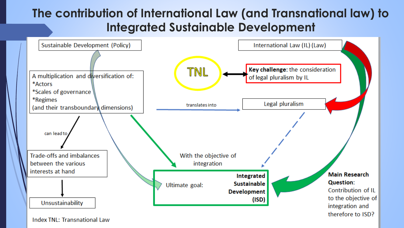#### **The contribution of International Law (and Transnational law) to Integrated Sustainable Development**



**Index TNL: Transnational Law**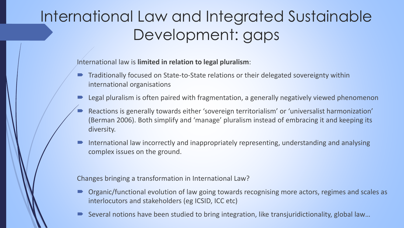## International Law and Integrated Sustainable Development: gaps

International law is **limited in relation to legal pluralism**:

- Traditionally focused on State-to-State relations or their delegated sovereignty within international organisations
- Legal pluralism is often paired with fragmentation, a generally negatively viewed phenomenon
- Reactions is generally towards either 'sovereign territorialism' or 'universalist harmonization' (Berman 2006). Both simplify and 'manage' pluralism instead of embracing it and keeping its diversity.
- $\blacksquare$  International law incorrectly and inappropriately representing, understanding and analysing complex issues on the ground.

Changes bringing a transformation in International Law?

- Organic/functional evolution of law going towards recognising more actors, regimes and scales as interlocutors and stakeholders (eg ICSID, ICC etc)
- Several notions have been studied to bring integration, like transjuridictionality, global law…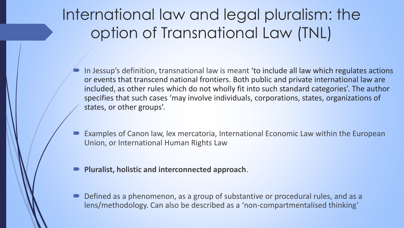## International law and legal pluralism: the option of Transnational Law (TNL)

- In Jessup's definition, transnational law is meant 'to include all law which regulates actions or events that transcend national frontiers. Both public and private international law are included, as other rules which do not wholly fit into such standard categories'. The author specifies that such cases 'may involve individuals, corporations, states, organizations of states, or other groups'.
- Examples of Canon law, lex mercatoria, International Economic Law within the European Union, or International Human Rights Law
- **Pluralist, holistic and interconnected approach**.
- Defined as a phenomenon, as a group of substantive or procedural rules, and as a lens/methodology. Can also be described as a 'non-compartmentalised thinking'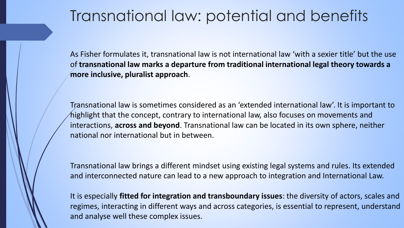### Transnational law: potential and benefits

As Fisher formulates it, transnational law is not international law 'with a sexier title' but the use of **transnational law marks a departure from traditional international legal theory towards a more inclusive, pluralist approach**.

Transnational law is sometimes considered as an 'extended international law'. It is important to highlight that the concept, contrary to international law, also focuses on movements and interactions, **across and beyond**. Transnational law can be located in its own sphere, neither national nor international but in between.

Transnational law brings a different mindset using existing legal systems and rules. Its extended and interconnected nature can lead to a new approach to integration and International Law.

It is especially **fitted for integration and transboundary issues**: the diversity of actors, scales and regimes, interacting in different ways and across categories, is essential to represent, understand and analyse well these complex issues.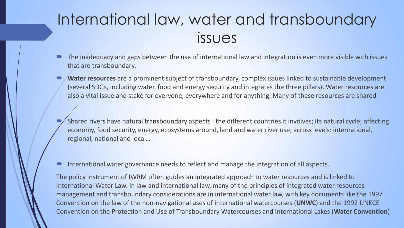### International law, water and transboundary issues

- The inadequacy and gaps between the use of international law and integration is even more visible with issues that are transboundary.
- **Water resources** are a prominent subject of transboundary, complex issues linked to sustainable development (several SDGs, including water, food and energy security and integrates the three pillars). Water resources are also a vital issue and stake for everyone, everywhere and for anything. Many of these resources are shared.
- Shared rivers have natural transboundary aspects : the different countries it involves; its natural cycle; affecting economy, food security, energy, ecosystems around, land and water river use; across levels: international, regional, national and local…
- International water governance needs to reflect and manage the integration of all aspects.

The policy instrument of IWRM often guides an integrated approach to water resources and is linked to International Water Law. In law and international law, many of the principles of integrated water resources management and transboundary considerations are in international water law, with key documents like the 1997 Convention on the law of the non-navigational uses of international watercourses (**UNWC**) and the 1992 UNECE Convention on the Protection and Use of Transboundary Watercourses and International Lakes (**Water Convention**)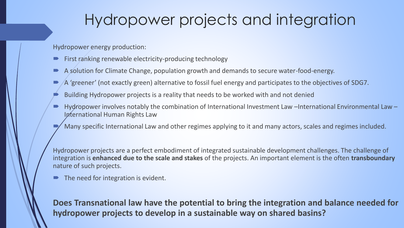### Hydropower projects and integration

Hydropower energy production:

- First ranking renewable electricity-producing technology
- A solution for Climate Change, population growth and demands to secure water-food-energy.
- A 'greener' (not exactly green) alternative to fossil fuel energy and participates to the objectives of SDG7.
- Building Hydropower projects is a reality that needs to be worked with and not denied
- Hydropower involves notably the combination of International Investment Law –International Environmental Law International Human Rights Law
- Many specific International Law and other regimes applying to it and many actors, scales and regimes included.

Hydropower projects are a perfect embodiment of integrated sustainable development challenges. The challenge of integration is **enhanced due to the scale and stakes** of the projects. An important element is the often **transboundary** nature of such projects.

The need for integration is evident.

**Does Transnational law have the potential to bring the integration and balance needed for hydropower projects to develop in a sustainable way on shared basins?**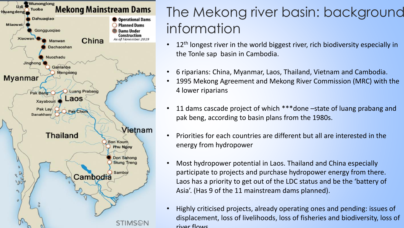

### The Mekong river basin: background information

- 12<sup>th</sup> longest river in the world biggest river, rich biodiversity especially in the Tonle sap basin in Cambodia.
- 6 riparians: China, Myanmar, Laos, Thailand, Vietnam and Cambodia.
- 1995 Mekong Agreement and Mekong River Commission (MRC) with the 4 lower riparians
- 11 dams cascade project of which \*\*\*done –state of luang prabang and pak beng, according to basin plans from the 1980s.
- Priorities for each countries are different but all are interested in the energy from hydropower
- Most hydropower potential in Laos. Thailand and China especially participate to projects and purchase hydropower energy from there. Laos has a priority to get out of the LDC status and be the 'battery of Asia'. (Has 9 of the 11 mainstream dams planned).
- Highly criticised projects, already operating ones and pending: issues of displacement, loss of livelihoods, loss of fisheries and biodiversity, loss of river flows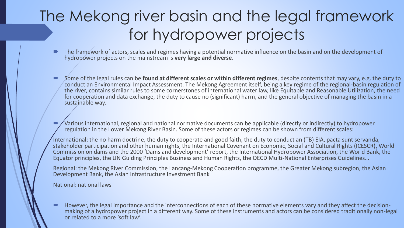## The Mekong river basin and the legal framework for hydropower projects

- The framework of actors, scales and regimes having a potential normative influence on the basin and on the development of hydropower projects on the mainstream is **very large and diverse**.
- Some of the legal rules can be **found at different scales or within different regimes**, despite contents that may vary, e.g. the duty to conduct an Environmental Impact Assessment. The Mekong Agreement itself, being a key regime of the regional-basin regulation of the river, contains similar rules to some cornerstones of international water law, like Equitable and Reasonable Utilization, the need for cooperation and data exchange, the duty to cause no (significant) harm, and the general objective of managing the basin in a sustainable way.
- Various international, regional and national normative documents can be applicable (directly or indirectly) to hydropower regulation in the Lower Mekong River Basin. Some of these actors or regimes can be shown from different scales:

International: the no harm doctrine, the duty to cooperate and good faith, the duty to conduct an (TB) EIA, pacta sunt servanda, stakeholder participation and other human rights, the International Covenant on Economic, Social and Cultural Rights (ICESCR), World Commission on dams and the 2000 'Dams and development' report, the International Hydropower Association, the World Bank, the Equator principles, the UN Guiding Principles Business and Human Rights, the OECD Multi-National Enterprises Guidelines…

Regional: the Mekong River Commission, the Lancang-Mekong Cooperation programme, the Greater Mekong subregion, the Asian Development Bank, the Asian Infrastructure Investment Bank

National: national laws

 However, the legal importance and the interconnections of each of these normative elements vary and they affect the decisionmaking of a hydropower project in a different way. Some of these instruments and actors can be considered traditionally non-legal or related to a more 'soft law'.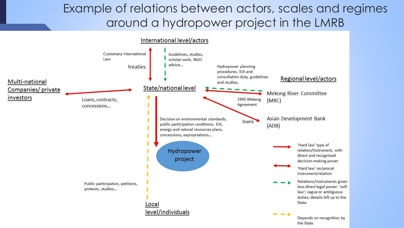#### Example of relations between actors, scales and regimes around a hydropower project in the LMRB

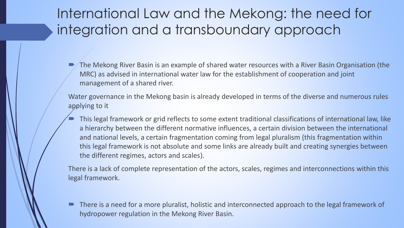### International Law and the Mekong: the need for integration and a transboundary approach

 The Mekong River Basin is an example of shared water resources with a River Basin Organisation (the MRC) as advised in international water law for the establishment of cooperation and joint management of a shared river.

Water governance in the Mekong basin is already developed in terms of the diverse and numerous rules applying to it

 This legal framework or grid reflects to some extent traditional classifications of international law, like a hierarchy between the different normative influences, a certain division between the international and national levels, a certain fragmentation coming from legal pluralism (this fragmentation within this legal framework is not absolute and some links are already built and creating synergies between the different regimes, actors and scales).

There is a lack of complete representation of the actors, scales, regimes and interconnections within this legal framework.

 There is a need for a more pluralist, holistic and interconnected approach to the legal framework of hydropower regulation in the Mekong River Basin.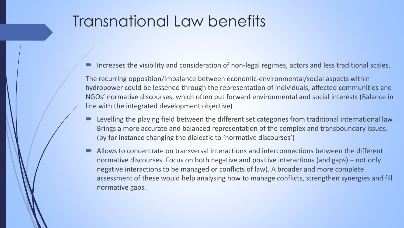### Transnational Law benefits

Increases the visibility and consideration of non-legal regimes, actors and less traditional scales.

The recurring opposition/imbalance between economic-environmental/social aspects within hydropower could be lessened through the representation of individuals, affected communities and NGOs' normative discourses, which often put forward environmental and social interests (Balance in line with the integrated development objective)

- Levelling the playing field between the different set categories from traditional international law. Brings a more accurate and balanced representation of the complex and transboundary issues. (by for instance changing the dialectic to 'normative discourses')
- Allows to concentrate on transversal interactions and interconnections between the different normative discourses. Focus on both negative and positive interactions (and gaps) – not only negative interactions to be managed or conflicts of law). A broader and more complete assessment of these would help analysing how to manage conflicts, strengthen synergies and fill normative gaps.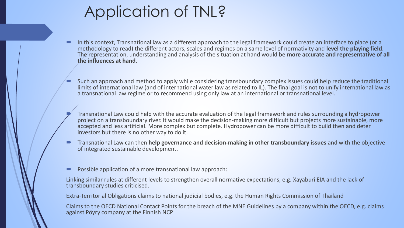### Application of TNL?

- In this context, Transnational law as a different approach to the legal framework could create an interface to place (or a methodology to read) the different actors, scales and regimes on a same level of normativity and **level the playing field**. The representation, understanding and analysis of the situation at hand would be **more accurate and representative of all the influences at hand**.
- Such an approach and method to apply while considering transboundary complex issues could help reduce the traditional limits of international law (and of international water law as related to IL). The final goal is not to unify international law as a transnational law regime or to recommend using only law at an international or transnational level.
- Transnational Law could help with the accurate evaluation of the legal framework and rules surrounding a hydropower project on a transboundary river. It would make the decision-making more difficult but projects more sustainable, more accepted and less artificial. More complex but complete. Hydropower can be more difficult to build then and deter investors but there is no other way to do it.
- Transnational Law can then **help governance and decision-making in other transboundary issues** and with the objective of integrated sustainable development.
- Possible application of a more transnational law approach:

Linking similar rules at different levels to strengthen overall normative expectations, e.g. Xayaburi EIA and the lack of transboundary studies criticised.

Extra-Territorial Obligations claims to national judicial bodies, e.g. the Human Rights Commission of Thailand

Claims to the OECD National Contact Points for the breach of the MNE Guidelines by a company within the OECD, e.g. claims against Pöyry company at the Finnish NCP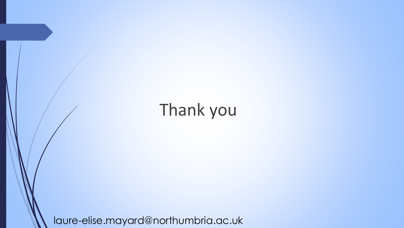# Thank you

laure-elise.mayard@northumbria.ac.uk